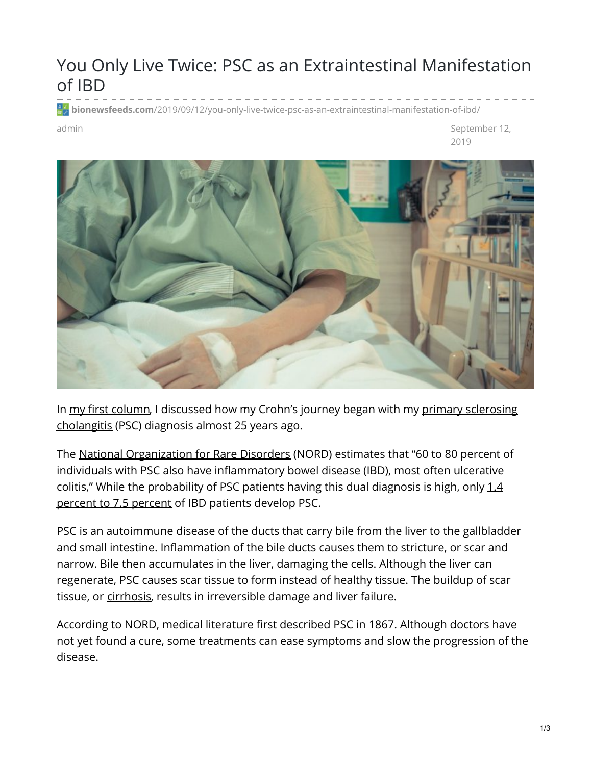## You Only Live Twice: PSC as an Extraintestinal Manifestation of IBD

**bionewsfeeds.com**[/2019/09/12/you-only-live-twice-psc-as-an-extraintestinal-manifestation-of-ibd/](https://bionewsfeeds.com/2019/09/12/you-only-live-twice-psc-as-an-extraintestinal-manifestation-of-ibd/)

admin September 12, 2019



In my first [column](https://ibdnewstoday.com/2019/03/28/intestinal-fortitude-survivors-guide-ibd/), I discussed how my Crohn's journey began with my primary sclerosing [cholangitis](https://liverfoundation.org/for-patients/about-the-liver/diseases-of-the-liver/primary-sclerosing-cholangitis/) (PSC) diagnosis almost 25 years ago.

The National [Organization](https://rarediseases.org/rare-diseases/primary-sclerosing-cholangitis/) for Rare Disorders (NORD) estimates that "60 to 80 percent of individuals with PSC also have inflammatory bowel disease (IBD), most often ulcerative colitis," While the [probability](https://www.ncbi.nlm.nih.gov/pmc/articles/PMC3296398/) of PSC patients having this dual diagnosis is high, only 1.4 percent to 7.5 percent of IBD patients develop PSC.

PSC is an autoimmune disease of the ducts that carry bile from the liver to the gallbladder and small intestine. Inflammation of the bile ducts causes them to stricture, or scar and narrow. Bile then accumulates in the liver, damaging the cells. Although the liver can regenerate, PSC causes scar tissue to form instead of healthy tissue. The buildup of scar tissue, or [cirrhosis](https://www.mayoclinic.org/diseases-conditions/cirrhosis/symptoms-causes/syc-20351487), results in irreversible damage and liver failure.

According to NORD, medical literature first described PSC in 1867. Although doctors have not yet found a cure, some treatments can ease symptoms and slow the progression of the disease.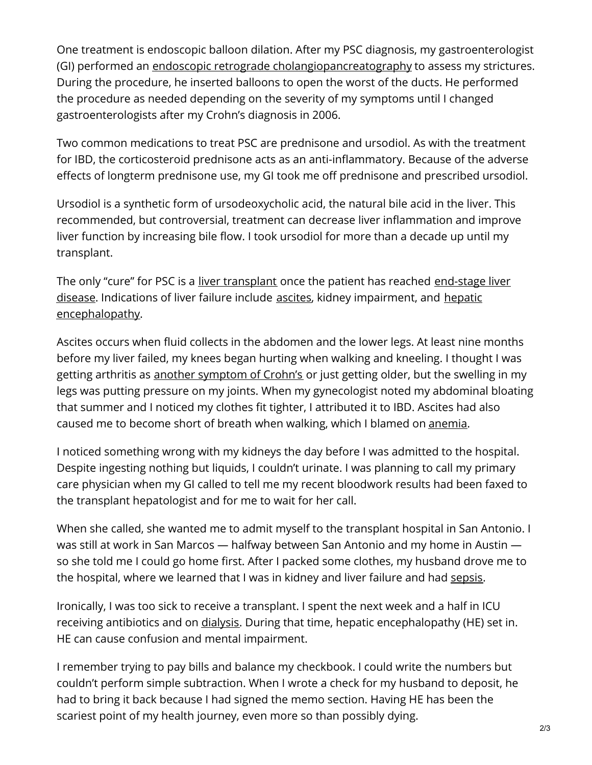One treatment is endoscopic balloon dilation. After my PSC diagnosis, my gastroenterologist (GI) performed an endoscopic retrograde [cholangiopancreatography](https://gi.org/topics/ercp-a-patients-guide/) to assess my strictures. During the procedure, he inserted balloons to open the worst of the ducts. He performed the procedure as needed depending on the severity of my symptoms until I changed gastroenterologists after my Crohn's diagnosis in 2006.

Two common medications to treat PSC are prednisone and ursodiol. As with the treatment for IBD, the corticosteroid prednisone acts as an anti-inflammatory. Because of the adverse effects of longterm prednisone use, my GI took me off prednisone and prescribed ursodiol.

Ursodiol is a synthetic form of ursodeoxycholic acid, the natural bile acid in the liver. This recommended, but controversial, treatment can decrease liver inflammation and improve liver function by increasing bile flow. I took ursodiol for more than a decade up until my transplant.

The only "cure" for PSC is a liver [transplant](https://www.mayoclinic.org/tests-procedures/liver-transplant/about/pac-20384842) once the patient has reached end-stage liver disease. Indications of liver failure include [ascites](https://www.hopkinsmedicine.org/health/conditions-and-diseases/ascites), kidney [impairment,](https://liverfoundation.org/for-patients/about-the-liver/the-progression-of-liver-disease/#1528336110805-306e9f57-a1bc) and hepatic [encephalopathy.](https://rarediseases.org/rare-diseases/hepatic-encephalopathy/)

Ascites occurs when fluid collects in the abdomen and the lower legs. At least nine months before my liver failed, my knees began hurting when walking and kneeling. I thought I was getting arthritis as another [symptom](https://www.arthritis.org/about-arthritis/types/inflammatory-bowel-disease/) of Crohn's or just getting older, but the swelling in my legs was putting pressure on my joints. When my gynecologist noted my abdominal bloating that summer and I noticed my clothes fit tighter, I attributed it to IBD. Ascites had also caused me to become short of breath when walking, which I blamed on [anemia](https://www.nhlbi.nih.gov/health-topics/iron-deficiency-anemia).

I noticed something wrong with my kidneys the day before I was admitted to the hospital. Despite ingesting nothing but liquids, I couldn't urinate. I was planning to call my primary care physician when my GI called to tell me my recent bloodwork results had been faxed to the transplant hepatologist and for me to wait for her call.

When she called, she wanted me to admit myself to the transplant hospital in San Antonio. I was still at work in San Marcos — halfway between San Antonio and my home in Austin so she told me I could go home first. After I packed some clothes, my husband drove me to the hospital, where we learned that I was in kidney and liver failure and had [sepsis](https://www.mayoclinic.org/diseases-conditions/sepsis/symptoms-causes/syc-20351214).

Ironically, I was too sick to receive a transplant. I spent the next week and a half in ICU receiving antibiotics and on *[dialysis](https://www.kidney.org/atoz/content/dialysisinfo)*. During that time, hepatic encephalopathy (HE) set in. HE can cause confusion and mental impairment.

I remember trying to pay bills and balance my checkbook. I could write the numbers but couldn't perform simple subtraction. When I wrote a check for my husband to deposit, he had to bring it back because I had signed the memo section. Having HE has been the scariest point of my health journey, even more so than possibly dying.